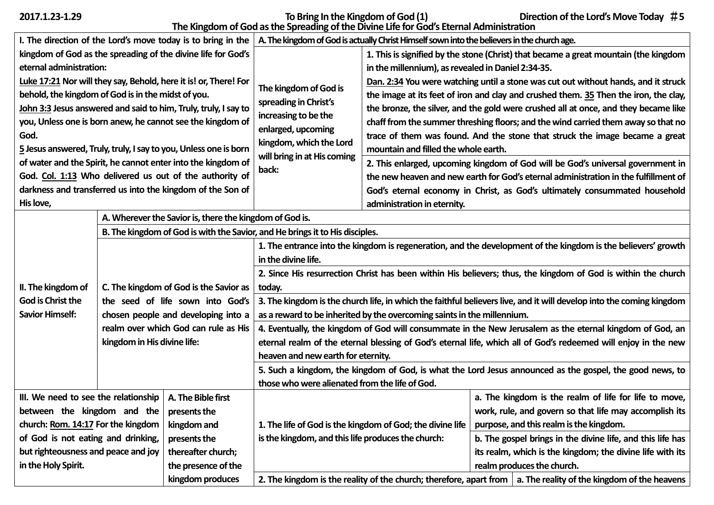**2017.1.23-1.29 To Bring In the Kingdom of God (1) Direction of the Lord's Move Today** #**5 The Kingdom of God as the Spreading of the Divine Life for God's Eternal Administration**

| I. The direction of the Lord's move today is to bring in the     |                                      |                                                                              | A. The kingdom of God is actually Christ Himself sown into the believers in the church age.                          |                                                                                      |                                                           |                                                                                                                         |
|------------------------------------------------------------------|--------------------------------------|------------------------------------------------------------------------------|----------------------------------------------------------------------------------------------------------------------|--------------------------------------------------------------------------------------|-----------------------------------------------------------|-------------------------------------------------------------------------------------------------------------------------|
|                                                                  |                                      | kingdom of God as the spreading of the divine life for God's                 | The kingdom of God is<br>spreading in Christ's<br>increasing to be the                                               | 1. This is signified by the stone (Christ) that became a great mountain (the kingdom |                                                           |                                                                                                                         |
| eternal administration:                                          |                                      |                                                                              |                                                                                                                      | in the millennium), as revealed in Daniel 2:34-35.                                   |                                                           |                                                                                                                         |
|                                                                  |                                      | Luke 17:21 Nor will they say, Behold, here it is! or, There! For             |                                                                                                                      | Dan. 2:34 You were watching until a stone was cut out without hands, and it struck   |                                                           |                                                                                                                         |
| behold, the kingdom of God is in the midst of you.               |                                      |                                                                              |                                                                                                                      | the image at its feet of iron and clay and crushed them. 35 Then the iron, the clay, |                                                           |                                                                                                                         |
|                                                                  |                                      | John 3:3 Jesus answered and said to him, Truly, truly, I say to              |                                                                                                                      | the bronze, the silver, and the gold were crushed all at once, and they became like  |                                                           |                                                                                                                         |
|                                                                  |                                      | you, Unless one is born anew, he cannot see the kingdom of                   |                                                                                                                      | chaff from the summer threshing floors; and the wind carried them away so that no    |                                                           |                                                                                                                         |
| God.                                                             |                                      |                                                                              | enlarged, upcoming<br>kingdom, which the Lord<br>will bring in at His coming<br>back:                                | trace of them was found. And the stone that struck the image became a great          |                                                           |                                                                                                                         |
| 5 Jesus answered, Truly, truly, I say to you, Unless one is born |                                      |                                                                              |                                                                                                                      | mountain and filled the whole earth.                                                 |                                                           |                                                                                                                         |
| of water and the Spirit, he cannot enter into the kingdom of     |                                      |                                                                              |                                                                                                                      | 2. This enlarged, upcoming kingdom of God will be God's universal government in      |                                                           |                                                                                                                         |
| God. Col. 1:13 Who delivered us out of the authority of          |                                      |                                                                              |                                                                                                                      | the new heaven and new earth for God's eternal administration in the fulfillment of  |                                                           |                                                                                                                         |
|                                                                  |                                      | darkness and transferred us into the kingdom of the Son of                   |                                                                                                                      | God's eternal economy in Christ, as God's ultimately consummated household           |                                                           |                                                                                                                         |
| His love,                                                        |                                      |                                                                              |                                                                                                                      | administration in eternity.                                                          |                                                           |                                                                                                                         |
| A. Wherever the Savior is, there the kingdom of God is.          |                                      |                                                                              |                                                                                                                      |                                                                                      |                                                           |                                                                                                                         |
|                                                                  |                                      | B. The kingdom of God is with the Savior, and He brings it to His disciples. |                                                                                                                      |                                                                                      |                                                           |                                                                                                                         |
|                                                                  |                                      |                                                                              | 1. The entrance into the kingdom is regeneration, and the development of the kingdom is the believers' growth        |                                                                                      |                                                           |                                                                                                                         |
| II. The kingdom of<br>C. The kingdom of God is the Savior as     |                                      |                                                                              | in the divine life.                                                                                                  |                                                                                      |                                                           |                                                                                                                         |
|                                                                  |                                      |                                                                              | 2. Since His resurrection Christ has been within His believers; thus, the kingdom of God is within the church        |                                                                                      |                                                           |                                                                                                                         |
|                                                                  |                                      | today.                                                                       |                                                                                                                      |                                                                                      |                                                           |                                                                                                                         |
|                                                                  |                                      |                                                                              | 3. The kingdom is the church life, in which the faithful believers live, and it will develop into the coming kingdom |                                                                                      |                                                           |                                                                                                                         |
| God is Christ the<br>the seed of life sown into God's            |                                      |                                                                              |                                                                                                                      |                                                                                      |                                                           |                                                                                                                         |
| <b>Savior Himself:</b>                                           | chosen people and developing into a  |                                                                              | as a reward to be inherited by the overcoming saints in the millennium.                                              |                                                                                      |                                                           |                                                                                                                         |
|                                                                  | realm over which God can rule as His |                                                                              | 4. Eventually, the kingdom of God will consummate in the New Jerusalem as the eternal kingdom of God, an             |                                                                                      |                                                           |                                                                                                                         |
|                                                                  | kingdom in His divine life:          |                                                                              | eternal realm of the eternal blessing of God's eternal life, which all of God's redeemed will enjoy in the new       |                                                                                      |                                                           |                                                                                                                         |
|                                                                  |                                      |                                                                              | heaven and new earth for eternity.                                                                                   |                                                                                      |                                                           |                                                                                                                         |
|                                                                  |                                      |                                                                              | 5. Such a kingdom, the kingdom of God, is what the Lord Jesus announced as the gospel, the good news, to             |                                                                                      |                                                           |                                                                                                                         |
|                                                                  |                                      |                                                                              | those who were alienated from the life of God.                                                                       |                                                                                      |                                                           |                                                                                                                         |
| III. We need to see the relationship                             |                                      | A. The Bible first                                                           |                                                                                                                      |                                                                                      |                                                           | a. The kingdom is the realm of life for life to move,                                                                   |
| between the kingdom and the                                      |                                      | presents the                                                                 |                                                                                                                      |                                                                                      | work, rule, and govern so that life may accomplish its    |                                                                                                                         |
| church: Rom. 14:17 For the kingdom                               |                                      | kingdom and                                                                  |                                                                                                                      | 1. The life of God is the kingdom of God; the divine life                            |                                                           | purpose, and this realm is the kingdom.                                                                                 |
| of God is not eating and drinking,                               |                                      | presents the                                                                 | is the kingdom, and this life produces the church:                                                                   |                                                                                      |                                                           | b. The gospel brings in the divine life, and this life has                                                              |
| but righteousness and peace and joy                              |                                      | thereafter church;                                                           |                                                                                                                      |                                                                                      | its realm, which is the kingdom; the divine life with its |                                                                                                                         |
| in the Holy Spirit.                                              |                                      | the presence of the                                                          |                                                                                                                      |                                                                                      |                                                           | realm produces the church.                                                                                              |
|                                                                  |                                      | kingdom produces                                                             |                                                                                                                      |                                                                                      |                                                           | 2. The kingdom is the reality of the church; therefore, apart from $\vert$ a. The reality of the kingdom of the heavens |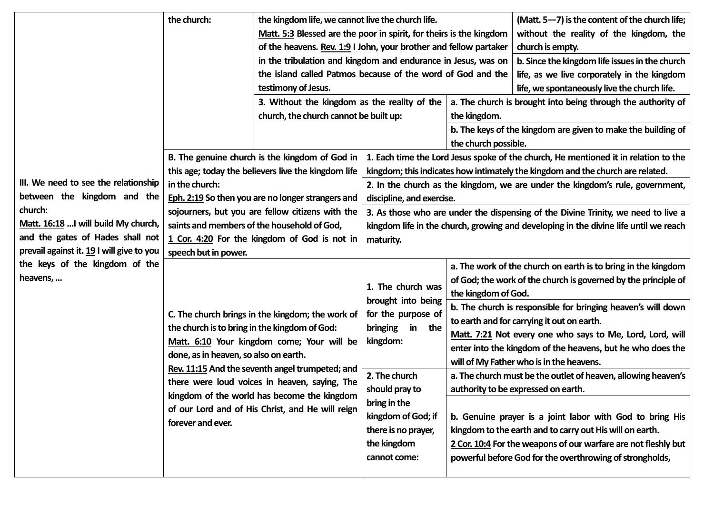|                                           | the church:                                   | the kingdom life, we cannot live the church life.                                                               |                                                                                      |                                                                | (Matt. 5-7) is the content of the church life;                 |  |
|-------------------------------------------|-----------------------------------------------|-----------------------------------------------------------------------------------------------------------------|--------------------------------------------------------------------------------------|----------------------------------------------------------------|----------------------------------------------------------------|--|
|                                           |                                               | Matt. 5:3 Blessed are the poor in spirit, for theirs is the kingdom                                             |                                                                                      | without the reality of the kingdom, the                        |                                                                |  |
|                                           |                                               | of the heavens. Rev. 1:9 I John, your brother and fellow partaker                                               |                                                                                      | church is empty.                                               |                                                                |  |
|                                           |                                               | in the tribulation and kingdom and endurance in Jesus, was on<br>b. Since the kingdom life issues in the church |                                                                                      |                                                                |                                                                |  |
|                                           |                                               | the island called Patmos because of the word of God and the<br>life, as we live corporately in the kingdom      |                                                                                      |                                                                |                                                                |  |
|                                           |                                               | testimony of Jesus.<br>life, we spontaneously live the church life.                                             |                                                                                      |                                                                |                                                                |  |
|                                           |                                               | 3. Without the kingdom as the reality of the                                                                    |                                                                                      | a. The church is brought into being through the authority of   |                                                                |  |
|                                           |                                               | church, the church cannot be built up:                                                                          |                                                                                      | the kingdom.                                                   |                                                                |  |
|                                           |                                               |                                                                                                                 |                                                                                      | b. The keys of the kingdom are given to make the building of   |                                                                |  |
|                                           |                                               |                                                                                                                 |                                                                                      | the church possible.                                           |                                                                |  |
|                                           |                                               | B. The genuine church is the kingdom of God in                                                                  | 1. Each time the Lord Jesus spoke of the church, He mentioned it in relation to the  |                                                                |                                                                |  |
|                                           |                                               | this age; today the believers live the kingdom life                                                             | kingdom; this indicates how intimately the kingdom and the church are related.       |                                                                |                                                                |  |
| III. We need to see the relationship      | in the church:                                |                                                                                                                 | 2. In the church as the kingdom, we are under the kingdom's rule, government,        |                                                                |                                                                |  |
| between the kingdom and the               |                                               | Eph. 2:19 So then you are no longer strangers and                                                               | discipline, and exercise.                                                            |                                                                |                                                                |  |
| church:                                   |                                               | sojourners, but you are fellow citizens with the                                                                | 3. As those who are under the dispensing of the Divine Trinity, we need to live a    |                                                                |                                                                |  |
| Matt. 16:18  I will build My church,      |                                               | saints and members of the household of God,                                                                     | kingdom life in the church, growing and developing in the divine life until we reach |                                                                |                                                                |  |
| and the gates of Hades shall not          |                                               | 1 Cor. 4:20 For the kingdom of God is not in                                                                    | maturity.                                                                            |                                                                |                                                                |  |
| prevail against it. 19 I will give to you | speech but in power.                          |                                                                                                                 |                                                                                      |                                                                |                                                                |  |
| the keys of the kingdom of the            |                                               | C. The church brings in the kingdom; the work of                                                                | 1. The church was<br>brought into being<br>for the purpose of                        |                                                                | a. The work of the church on earth is to bring in the kingdom  |  |
| heavens,                                  |                                               |                                                                                                                 |                                                                                      | of God; the work of the church is governed by the principle of |                                                                |  |
|                                           |                                               |                                                                                                                 |                                                                                      | the kingdom of God.                                            |                                                                |  |
|                                           |                                               |                                                                                                                 |                                                                                      |                                                                | b. The church is responsible for bringing heaven's will down   |  |
|                                           |                                               |                                                                                                                 |                                                                                      | to earth and for carrying it out on earth.                     |                                                                |  |
|                                           | the church is to bring in the kingdom of God: |                                                                                                                 | in<br>bringing<br>the                                                                |                                                                | Matt. 7:21 Not every one who says to Me, Lord, Lord, will      |  |
|                                           |                                               | Matt. 6:10 Your kingdom come; Your will be                                                                      | kingdom:                                                                             |                                                                | enter into the kingdom of the heavens, but he who does the     |  |
|                                           | done, as in heaven, so also on earth.         |                                                                                                                 |                                                                                      |                                                                | will of My Father who is in the heavens.                       |  |
|                                           |                                               | Rev. 11:15 And the seventh angel trumpeted; and                                                                 | 2. The church                                                                        |                                                                | a. The church must be the outlet of heaven, allowing heaven's  |  |
|                                           |                                               | there were loud voices in heaven, saying, The<br>kingdom of the world has become the kingdom                    | should pray to                                                                       |                                                                | authority to be expressed on earth.                            |  |
|                                           |                                               |                                                                                                                 | bring in the                                                                         |                                                                |                                                                |  |
|                                           | forever and ever.                             | of our Lord and of His Christ, and He will reign                                                                | kingdom of God; if                                                                   |                                                                | b. Genuine prayer is a joint labor with God to bring His       |  |
|                                           |                                               |                                                                                                                 | there is no prayer,                                                                  |                                                                | kingdom to the earth and to carry out His will on earth.       |  |
|                                           |                                               |                                                                                                                 | the kingdom                                                                          |                                                                | 2 Cor. 10:4 For the weapons of our warfare are not fleshly but |  |
|                                           |                                               |                                                                                                                 | cannot come:                                                                         |                                                                | powerful before God for the overthrowing of strongholds,       |  |
|                                           |                                               |                                                                                                                 |                                                                                      |                                                                |                                                                |  |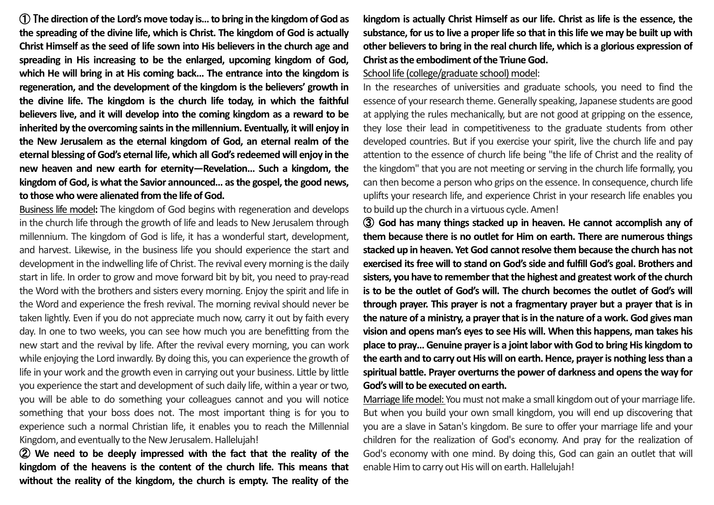① T**he direction of the Lord's move today is… to bring in the kingdom of God as the spreading of the divine life, which is Christ. The kingdom of God is actually Christ Himself as the seed of life sown into His believers in the church age and spreading in His increasing to be the enlarged, upcoming kingdom of God, which He will bring in at His coming back… The entrance into the kingdom is regeneration, and the development of the kingdom is the believers' growth in the divine life. The kingdom is the church life today, in which the faithful believers live, and it will develop into the coming kingdom as a reward to be inherited by the overcoming saints in the millennium. Eventually, it will enjoy in the New Jerusalem as the eternal kingdom of God, an eternal realm of the eternal blessing of God's eternal life, which all God's redeemed will enjoy in the new heaven and new earth for eternity—Revelation… Such a kingdom, the kingdom of God, is what the Savior announced… as the gospel, the good news, to those who were alienated from the life of God.**

Business life model**:** The kingdom of God begins with regeneration and develops in the church life through the growth of life and leads to New Jerusalem through millennium. The kingdom of God is life, it has a wonderful start, development, and harvest. Likewise, in the business life you should experience the start and development in the indwelling life of Christ. The revival every morning is the daily start in life. In order to grow and move forward bit by bit, you need to pray-read the Word with the brothers and sisters every morning. Enjoy the spirit and life in the Word and experience the fresh revival. The morning revival should never be taken lightly. Even if you do not appreciate much now, carry it out by faith every day. In one to two weeks, you can see how much you are benefitting from the new start and the revival by life. After the revival every morning, you can work while enjoying the Lord inwardly. By doing this, you can experience the growth of life in your work and the growth even in carrying out your business. Little by little you experience the start and development of such daily life, within a year or two, you will be able to do something your colleagues cannot and you will notice something that your boss does not. The most important thing is for you to experience such a normal Christian life, it enables you to reach the Millennial Kingdom, and eventually to the New Jerusalem. Hallelujah!

② **We need to be deeply impressed with the fact that the reality of the kingdom of the heavens is the content of the church life. This means that without the reality of the kingdom, the church is empty. The reality of the** 

**kingdom is actually Christ Himself as our life. Christ as life is the essence, the substance, for us to live a proper life so that in this life we may be built up with other believers to bring in the real church life, which is a glorious expression of Christ as the embodiment of the Triune God.**

## School life (college/graduate school) model:

In the researches of universities and graduate schools, you need to find the essence of your research theme. Generally speaking, Japanese students are good at applying the rules mechanically, but are not good at gripping on the essence, they lose their lead in competitiveness to the graduate students from other developed countries. But if you exercise your spirit, live the church life and pay attention to the essence of church life being "the life of Christ and the reality of the kingdom" that you are not meeting or serving in the church life formally, you can then become a person who grips on the essence. In consequence, church life uplifts your research life, and experience Christ in your research life enables you to build up the church in a virtuous cycle. Amen!

③ **God has many things stacked up in heaven. He cannot accomplish any of them because there is no outlet for Him on earth. There are numerous things stacked up in heaven. Yet God cannot resolve them because the church has not exercised its free will to stand on God's side and fulfill God's goal. Brothers and sisters, you have to remember that the highest and greatest work of the church is to be the outlet of God's will. The church becomes the outlet of God's will through prayer. This prayer is not a fragmentary prayer but a prayer that is in the nature of a ministry, a prayer that is in the nature of a work. God gives man vision and opens man's eyes to see His will. When this happens, man takes his place to pray… Genuine prayer is a joint labor with God to bring His kingdom to the earth and to carry out His will on earth. Hence, prayer is nothing less than a spiritual battle. Prayer overturns the power of darkness and opens the way for God's will to be executed on earth.**

Marriage life model: You must not make a small kingdom out of your marriage life. But when you build your own small kingdom, you will end up discovering that you are a slave in Satan's kingdom. Be sure to offer your marriage life and your children for the realization of God's economy. And pray for the realization of God's economy with one mind. By doing this, God can gain an outlet that will enable Him to carry out His will on earth. Hallelujah!